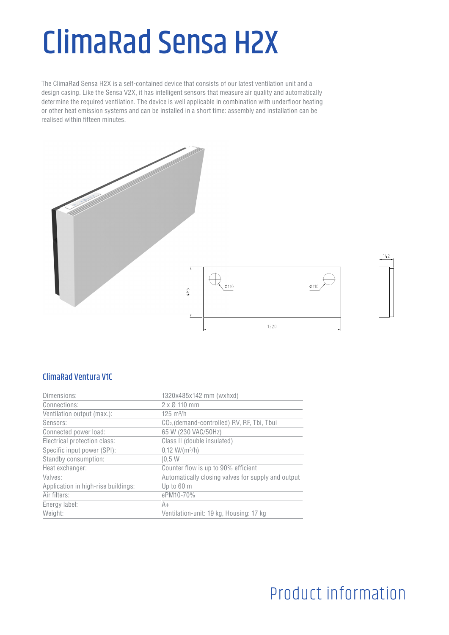# ClimaRad Sensa H2X

The ClimaRad Sensa H2X is a self-contained device that consists of our latest ventilation unit and a design casing. Like the Sensa V2X, it has intelligent sensors that measure air quality and automatically determine the required ventilation. The device is well applicable in combination with underfloor heating or other heat emission systems and can be installed in a short time: assembly and installation can be realised within fifteen minutes.



#### ClimaRad Ventura V1C

| Dimensions:                         | 1320x485x142 mm (wxhxd)                                 |
|-------------------------------------|---------------------------------------------------------|
| Connections:                        | $2 \times 0$ 110 mm                                     |
| Ventilation output (max.):          | $125 \text{ m}^3/h$                                     |
| Sensors:                            | CO <sub>2</sub> , (demand-controlled) RV, RF, Tbi, Tbui |
| Connected power load:               | 65 W (230 VAC/50Hz)                                     |
| Electrical protection class:        | Class II (double insulated)                             |
| Specific input power (SPI):         | $0,12 W/(m^3/h)$                                        |
| Standby consumption:                | 10.5 W                                                  |
| Heat exchanger:                     | Counter flow is up to 90% efficient                     |
| Valves:                             | Automatically closing valves for supply and output      |
| Application in high-rise buildings: | Up to 60 m                                              |
| Air filters:                        | ePM10-70%                                               |
| Energy label:                       | A+                                                      |
| Weight:                             | Ventilation-unit: 19 kg, Housing: 17 kg                 |
|                                     |                                                         |

# Product information